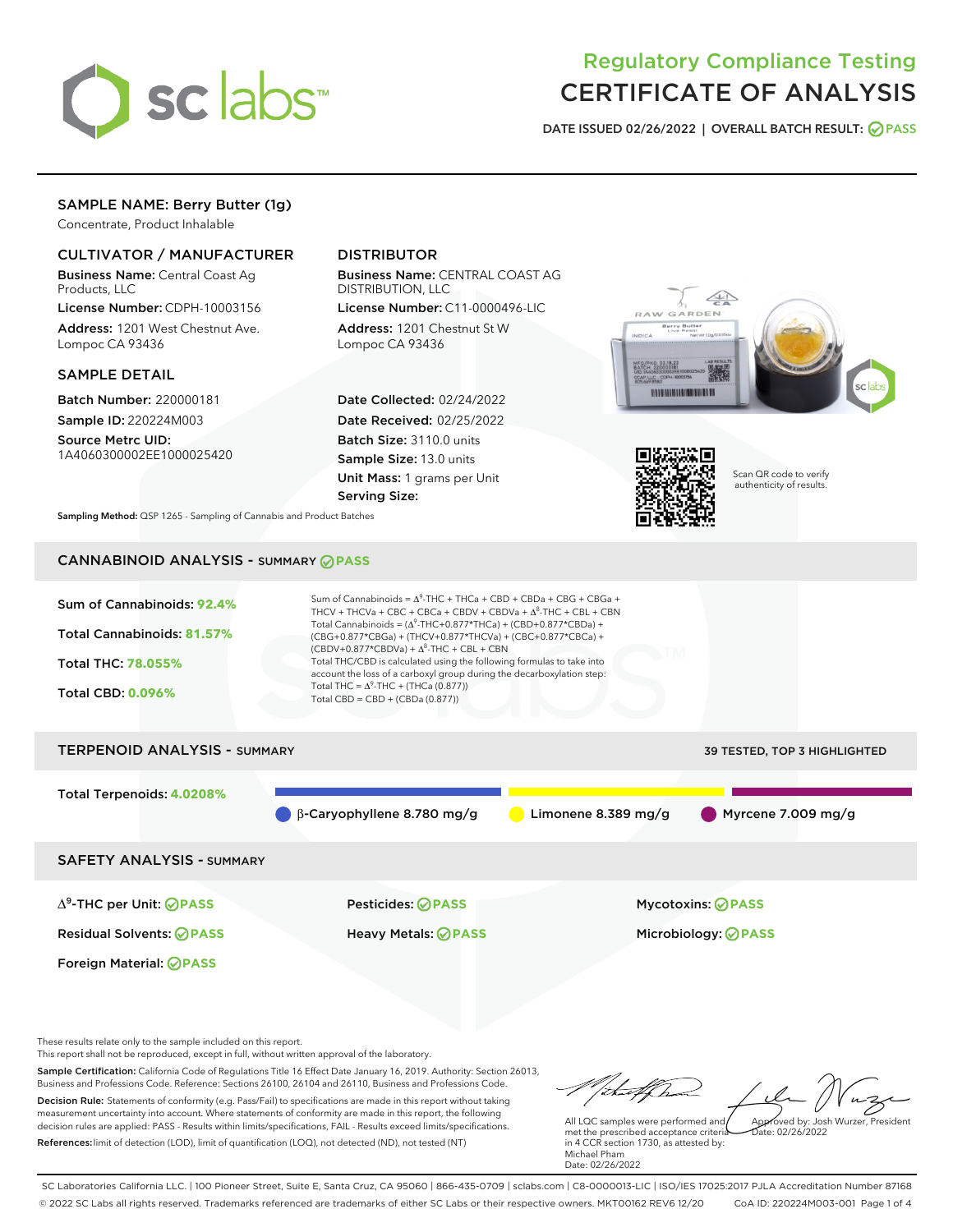

# Regulatory Compliance Testing CERTIFICATE OF ANALYSIS

DATE ISSUED 02/26/2022 | OVERALL BATCH RESULT: @ PASS

# SAMPLE NAME: Berry Butter (1g)

Concentrate, Product Inhalable

# CULTIVATOR / MANUFACTURER

Business Name: Central Coast Ag Products, LLC

License Number: CDPH-10003156 Address: 1201 West Chestnut Ave. Lompoc CA 93436

## SAMPLE DETAIL

Batch Number: 220000181 Sample ID: 220224M003

Source Metrc UID: 1A4060300002EE1000025420

# DISTRIBUTOR

Business Name: CENTRAL COAST AG DISTRIBUTION, LLC License Number: C11-0000496-LIC

Address: 1201 Chestnut St W Lompoc CA 93436

Date Collected: 02/24/2022 Date Received: 02/25/2022 Batch Size: 3110.0 units Sample Size: 13.0 units Unit Mass: 1 grams per Unit Serving Size:





Scan QR code to verify authenticity of results.

Sampling Method: QSP 1265 - Sampling of Cannabis and Product Batches

# CANNABINOID ANALYSIS - SUMMARY **PASS**



These results relate only to the sample included on this report.

This report shall not be reproduced, except in full, without written approval of the laboratory.

Sample Certification: California Code of Regulations Title 16 Effect Date January 16, 2019. Authority: Section 26013, Business and Professions Code. Reference: Sections 26100, 26104 and 26110, Business and Professions Code. Decision Rule: Statements of conformity (e.g. Pass/Fail) to specifications are made in this report without taking measurement uncertainty into account. Where statements of conformity are made in this report, the following decision rules are applied: PASS - Results within limits/specifications, FAIL - Results exceed limits/specifications.

References:limit of detection (LOD), limit of quantification (LOQ), not detected (ND), not tested (NT)

tu#f h Approved by: Josh Wurzer, President

 $\frac{1}{2}$  02/26/2022

All LQC samples were performed and met the prescribed acceptance criteria in 4 CCR section 1730, as attested by: Michael Pham Date: 02/26/2022

SC Laboratories California LLC. | 100 Pioneer Street, Suite E, Santa Cruz, CA 95060 | 866-435-0709 | sclabs.com | C8-0000013-LIC | ISO/IES 17025:2017 PJLA Accreditation Number 87168 © 2022 SC Labs all rights reserved. Trademarks referenced are trademarks of either SC Labs or their respective owners. MKT00162 REV6 12/20 CoA ID: 220224M003-001 Page 1 of 4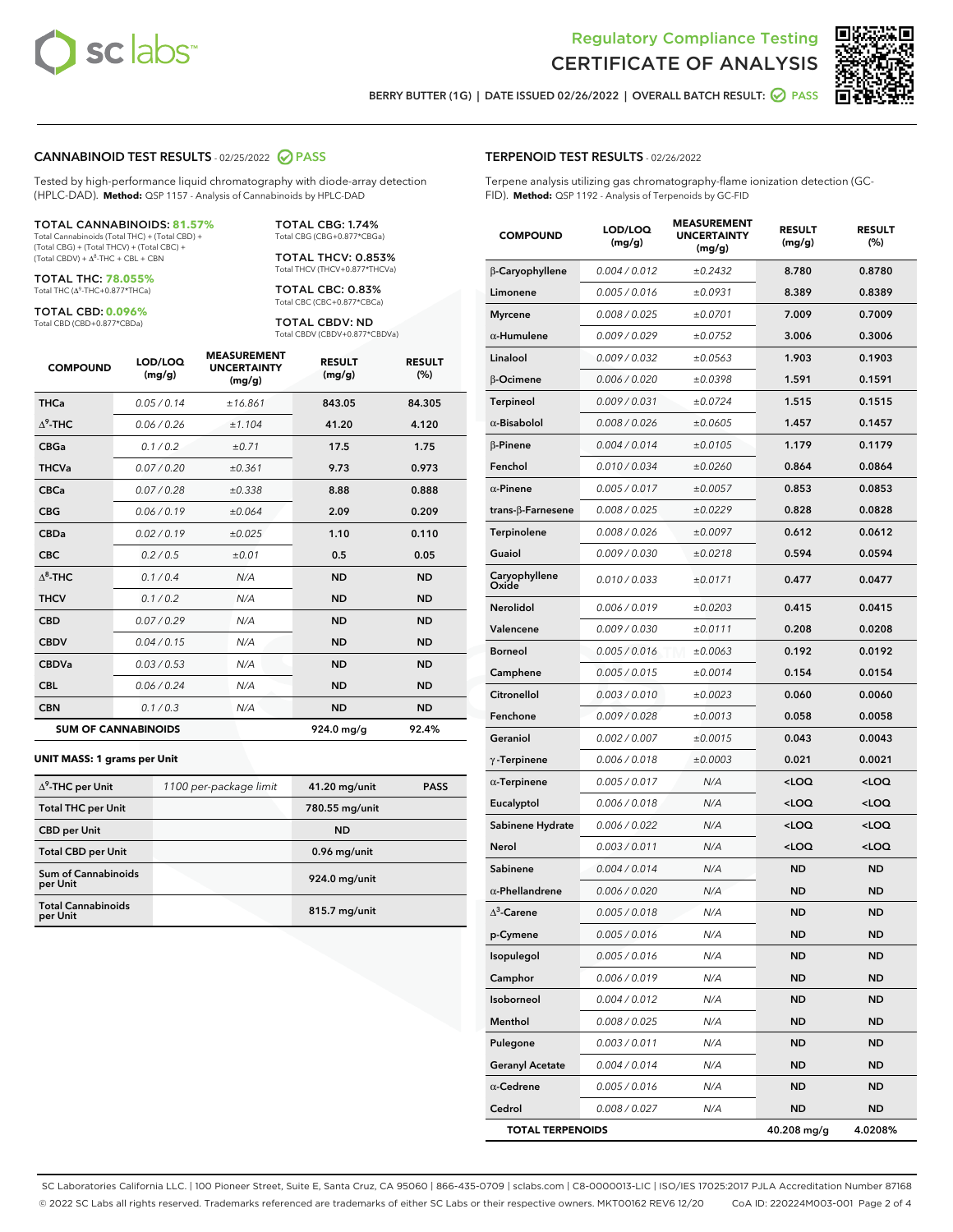



BERRY BUTTER (1G) | DATE ISSUED 02/26/2022 | OVERALL BATCH RESULT:  $\bigcirc$  PASS

## CANNABINOID TEST RESULTS - 02/25/2022 2 PASS

Tested by high-performance liquid chromatography with diode-array detection (HPLC-DAD). **Method:** QSP 1157 - Analysis of Cannabinoids by HPLC-DAD

#### TOTAL CANNABINOIDS: **81.57%**

Total Cannabinoids (Total THC) + (Total CBD) + (Total CBG) + (Total THCV) + (Total CBC) +  $(Total CBDV) +  $\Delta^8$ -THC + CBL + CBN$ 

TOTAL THC: **78.055%** Total THC (Δ<sup>9</sup>-THC+0.877\*THCa)

TOTAL CBD: **0.096%** Total CBD (CBD+0.877\*CBDa)

TOTAL CBG: 1.74% Total CBG (CBG+0.877\*CBGa)

TOTAL THCV: 0.853% Total THCV (THCV+0.877\*THCVa)

TOTAL CBC: 0.83% Total CBC (CBC+0.877\*CBCa)

TOTAL CBDV: ND Total CBDV (CBDV+0.877\*CBDVa)

| <b>COMPOUND</b>  | LOD/LOQ<br>(mg/g)          | <b>MEASUREMENT</b><br><b>UNCERTAINTY</b><br>(mg/g) | <b>RESULT</b><br>(mg/g) | <b>RESULT</b><br>(%) |
|------------------|----------------------------|----------------------------------------------------|-------------------------|----------------------|
| <b>THCa</b>      | 0.05/0.14                  | ±16.861                                            | 843.05                  | 84.305               |
| $\Lambda^9$ -THC | 0.06 / 0.26                | ±1.104                                             | 41.20                   | 4.120                |
| <b>CBGa</b>      | 0.1/0.2                    | ±0.71                                              | 17.5                    | 1.75                 |
| <b>THCVa</b>     | 0.07 / 0.20                | ±0.361                                             | 9.73                    | 0.973                |
| <b>CBCa</b>      | 0.07 / 0.28                | ±0.338                                             | 8.88                    | 0.888                |
| <b>CBG</b>       | 0.06/0.19                  | ±0.064                                             | 2.09                    | 0.209                |
| <b>CBDa</b>      | 0.02/0.19                  | ±0.025                                             | 1.10                    | 0.110                |
| <b>CBC</b>       | 0.2 / 0.5                  | ±0.01                                              | 0.5                     | 0.05                 |
| $\Lambda^8$ -THC | 0.1/0.4                    | N/A                                                | <b>ND</b>               | <b>ND</b>            |
| <b>THCV</b>      | 0.1 / 0.2                  | N/A                                                | <b>ND</b>               | <b>ND</b>            |
| <b>CBD</b>       | 0.07/0.29                  | N/A                                                | <b>ND</b>               | <b>ND</b>            |
| <b>CBDV</b>      | 0.04 / 0.15                | N/A                                                | <b>ND</b>               | <b>ND</b>            |
| <b>CBDVa</b>     | 0.03 / 0.53                | N/A                                                | <b>ND</b>               | <b>ND</b>            |
| <b>CBL</b>       | 0.06 / 0.24                | N/A                                                | <b>ND</b>               | <b>ND</b>            |
| <b>CBN</b>       | 0.1/0.3                    | N/A                                                | <b>ND</b>               | <b>ND</b>            |
|                  | <b>SUM OF CANNABINOIDS</b> |                                                    | 924.0 mg/g              | 92.4%                |

#### **UNIT MASS: 1 grams per Unit**

| $\Delta^9$ -THC per Unit              | 1100 per-package limit | 41.20 mg/unit  | <b>PASS</b> |
|---------------------------------------|------------------------|----------------|-------------|
| <b>Total THC per Unit</b>             |                        | 780.55 mg/unit |             |
| <b>CBD</b> per Unit                   |                        | <b>ND</b>      |             |
| <b>Total CBD per Unit</b>             |                        | 0.96 mg/unit   |             |
| Sum of Cannabinoids<br>per Unit       |                        | 924.0 mg/unit  |             |
| <b>Total Cannabinoids</b><br>per Unit |                        | 815.7 mg/unit  |             |

#### TERPENOID TEST RESULTS - 02/26/2022

Terpene analysis utilizing gas chromatography-flame ionization detection (GC-FID). **Method:** QSP 1192 - Analysis of Terpenoids by GC-FID

| <b>COMPOUND</b>         | LOD/LOQ<br>(mg/g) | <b>MEASUREMENT</b><br><b>UNCERTAINTY</b><br>(mg/g) | <b>RESULT</b><br>(mg/g)                         | <b>RESULT</b><br>(%) |
|-------------------------|-------------------|----------------------------------------------------|-------------------------------------------------|----------------------|
| β-Caryophyllene         | 0.004 / 0.012     | ±0.2432                                            | 8.780                                           | 0.8780               |
| Limonene                | 0.005 / 0.016     | ±0.0931                                            | 8.389                                           | 0.8389               |
| <b>Myrcene</b>          | 0.008 / 0.025     | ±0.0701                                            | 7.009                                           | 0.7009               |
| $\alpha$ -Humulene      | 0.009 / 0.029     | ±0.0752                                            | 3.006                                           | 0.3006               |
| Linalool                | 0.009 / 0.032     | ±0.0563                                            | 1.903                                           | 0.1903               |
| β-Ocimene               | 0.006 / 0.020     | ±0.0398                                            | 1.591                                           | 0.1591               |
| <b>Terpineol</b>        | 0.009 / 0.031     | ±0.0724                                            | 1.515                                           | 0.1515               |
| $\alpha$ -Bisabolol     | 0.008 / 0.026     | ±0.0605                                            | 1.457                                           | 0.1457               |
| $\beta$ -Pinene         | 0.004 / 0.014     | ±0.0105                                            | 1.179                                           | 0.1179               |
| Fenchol                 | 0.010 / 0.034     | ±0.0260                                            | 0.864                                           | 0.0864               |
| $\alpha$ -Pinene        | 0.005 / 0.017     | ±0.0057                                            | 0.853                                           | 0.0853               |
| trans-β-Farnesene       | 0.008 / 0.025     | ±0.0229                                            | 0.828                                           | 0.0828               |
| Terpinolene             | 0.008 / 0.026     | ±0.0097                                            | 0.612                                           | 0.0612               |
| Guaiol                  | 0.009 / 0.030     | ±0.0218                                            | 0.594                                           | 0.0594               |
| Caryophyllene<br>Oxide  | 0.010 / 0.033     | ±0.0171                                            | 0.477                                           | 0.0477               |
| <b>Nerolidol</b>        | 0.006 / 0.019     | ±0.0203                                            | 0.415                                           | 0.0415               |
| Valencene               | 0.009 / 0.030     | ±0.0111                                            | 0.208                                           | 0.0208               |
| <b>Borneol</b>          | 0.005 / 0.016     | ±0.0063                                            | 0.192                                           | 0.0192               |
| Camphene                | 0.005 / 0.015     | ±0.0014                                            | 0.154                                           | 0.0154               |
| Citronellol             | 0.003 / 0.010     | ±0.0023                                            | 0.060                                           | 0.0060               |
| Fenchone                | 0.009 / 0.028     | ±0.0013                                            | 0.058                                           | 0.0058               |
| Geraniol                | 0.002 / 0.007     | ±0.0015                                            | 0.043                                           | 0.0043               |
| $\gamma$ -Terpinene     | 0.006 / 0.018     | ±0.0003                                            | 0.021                                           | 0.0021               |
| $\alpha$ -Terpinene     | 0.005 / 0.017     | N/A                                                | <loq< th=""><th><loq< th=""></loq<></th></loq<> | <loq< th=""></loq<>  |
| Eucalyptol              | 0.006 / 0.018     | N/A                                                | <loq< th=""><th><loq< th=""></loq<></th></loq<> | <loq< th=""></loq<>  |
| Sabinene Hydrate        | 0.006 / 0.022     | N/A                                                | <loq< th=""><th><loq< th=""></loq<></th></loq<> | <loq< th=""></loq<>  |
| Nerol                   | 0.003 / 0.011     | N/A                                                | <loq< th=""><th><loq< th=""></loq<></th></loq<> | <loq< th=""></loq<>  |
| Sabinene                | 0.004 / 0.014     | N/A                                                | ND                                              | <b>ND</b>            |
| $\alpha$ -Phellandrene  | 0.006 / 0.020     | N/A                                                | <b>ND</b>                                       | ND                   |
| $\Delta^3$ -Carene      | 0.005 / 0.018     | N/A                                                | <b>ND</b>                                       | <b>ND</b>            |
| p-Cymene                | 0.005 / 0.016     | N/A                                                | ND                                              | ND                   |
| Isopulegol              | 0.005 / 0.016     | N/A                                                | <b>ND</b>                                       | ND                   |
| Camphor                 | 0.006 / 0.019     | N/A                                                | <b>ND</b>                                       | <b>ND</b>            |
| Isoborneol              | 0.004 / 0.012     | N/A                                                | ND                                              | ND                   |
| Menthol                 | 0.008 / 0.025     | N/A                                                | ND                                              | ND                   |
| Pulegone                | 0.003 / 0.011     | N/A                                                | <b>ND</b>                                       | ND                   |
| <b>Geranyl Acetate</b>  | 0.004 / 0.014     | N/A                                                | ND                                              | ND                   |
| $\alpha$ -Cedrene       | 0.005 / 0.016     | N/A                                                | ND                                              | ND                   |
| Cedrol                  | 0.008 / 0.027     | N/A                                                | <b>ND</b>                                       | ND                   |
| <b>TOTAL TERPENOIDS</b> |                   |                                                    | 40.208 mg/g                                     | 4.0208%              |

SC Laboratories California LLC. | 100 Pioneer Street, Suite E, Santa Cruz, CA 95060 | 866-435-0709 | sclabs.com | C8-0000013-LIC | ISO/IES 17025:2017 PJLA Accreditation Number 87168 © 2022 SC Labs all rights reserved. Trademarks referenced are trademarks of either SC Labs or their respective owners. MKT00162 REV6 12/20 CoA ID: 220224M003-001 Page 2 of 4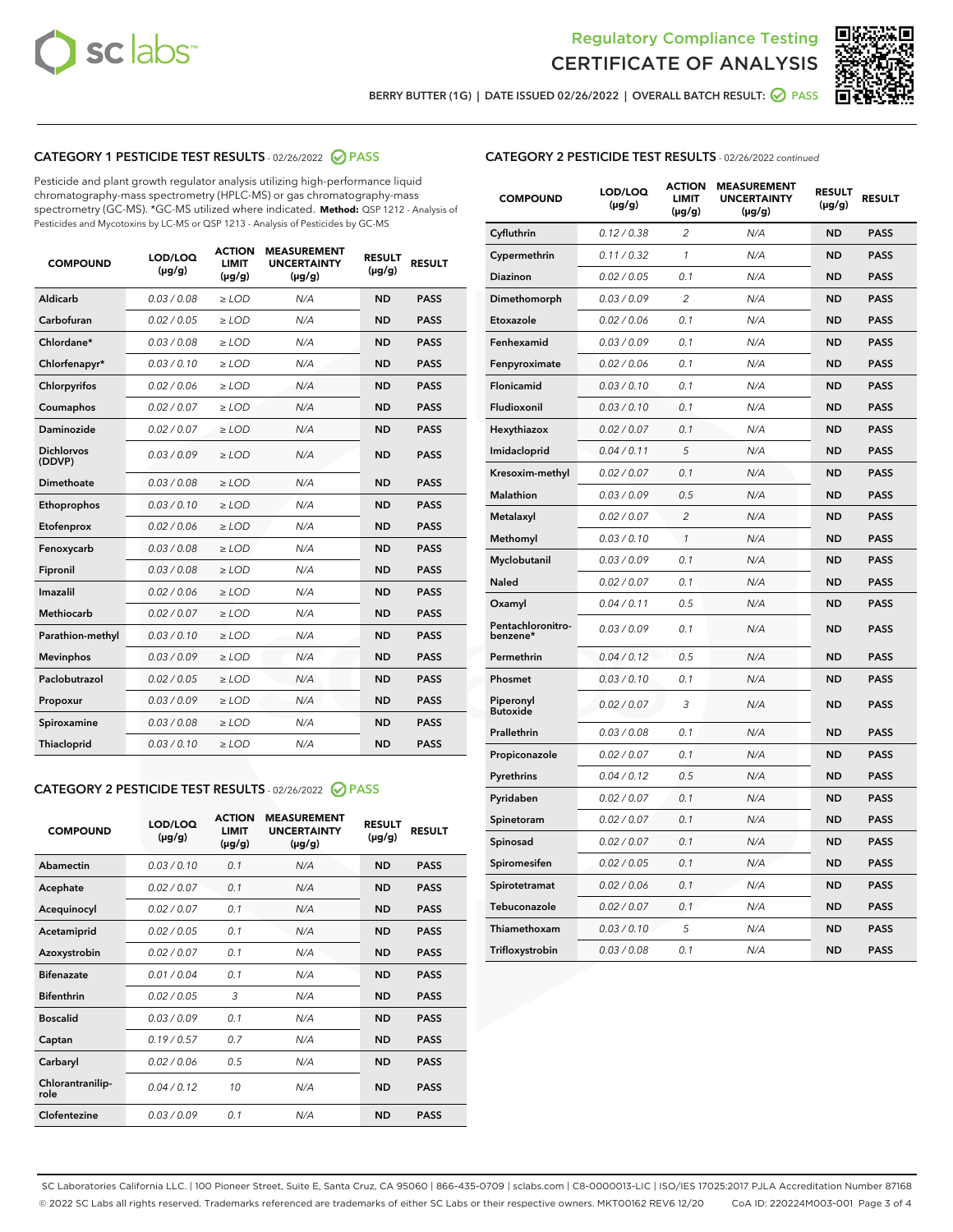



BERRY BUTTER (1G) | DATE ISSUED 02/26/2022 | OVERALL BATCH RESULT: O PASS

# CATEGORY 1 PESTICIDE TEST RESULTS - 02/26/2022 2 PASS

Pesticide and plant growth regulator analysis utilizing high-performance liquid chromatography-mass spectrometry (HPLC-MS) or gas chromatography-mass spectrometry (GC-MS). \*GC-MS utilized where indicated. **Method:** QSP 1212 - Analysis of Pesticides and Mycotoxins by LC-MS or QSP 1213 - Analysis of Pesticides by GC-MS

| 0.03 / 0.08<br>Aldicarb<br>$\ge$ LOD<br>N/A<br><b>ND</b><br><b>PASS</b><br>Carbofuran<br>0.02 / 0.05<br>$>$ LOD<br>N/A<br><b>ND</b><br><b>PASS</b><br>Chlordane*<br>0.03 / 0.08<br>N/A<br><b>ND</b><br><b>PASS</b><br>$\ge$ LOD<br>0.03/0.10<br>N/A<br><b>ND</b><br><b>PASS</b><br>Chlorfenapyr*<br>$\ge$ LOD<br>0.02/0.06<br>N/A<br><b>ND</b><br><b>PASS</b><br>Chlorpyrifos<br>$\ge$ LOD<br>Coumaphos<br>0.02 / 0.07<br>$>$ LOD<br>N/A<br><b>ND</b><br><b>PASS</b><br>Daminozide<br>0.02 / 0.07<br>$>$ LOD<br>N/A<br><b>ND</b><br><b>PASS</b><br><b>Dichlorvos</b><br>0.03/0.09<br>N/A<br><b>ND</b><br><b>PASS</b><br>$>$ LOD<br>(DDVP)<br>0.03/0.08<br>N/A<br><b>ND</b><br><b>PASS</b><br>Dimethoate<br>$>$ LOD<br>0.03/0.10<br><b>ND</b><br><b>PASS</b><br>Ethoprophos<br>$>$ LOD<br>N/A<br>0.02 / 0.06<br><b>ND</b><br><b>PASS</b><br>Etofenprox<br>$\ge$ LOD<br>N/A<br>0.03 / 0.08<br>N/A<br><b>ND</b><br><b>PASS</b><br>Fenoxycarb<br>$\ge$ LOD<br>Fipronil<br>0.03 / 0.08<br>$\ge$ LOD<br>N/A<br><b>ND</b><br><b>PASS</b><br>Imazalil<br>0.02/0.06<br>$>$ LOD<br>N/A<br><b>ND</b><br><b>PASS</b><br>Methiocarb<br>0.02 / 0.07<br><b>PASS</b><br>$\ge$ LOD<br>N/A<br><b>ND</b><br>N/A<br><b>ND</b><br><b>PASS</b><br>Parathion-methyl<br>0.03/0.10<br>$\ge$ LOD<br>0.03/0.09<br>$\ge$ LOD<br>N/A<br><b>ND</b><br><b>PASS</b><br><b>Mevinphos</b><br>Paclobutrazol<br>0.02 / 0.05<br>$\ge$ LOD<br>N/A<br><b>ND</b><br><b>PASS</b><br>0.03/0.09<br>$\ge$ LOD<br>N/A<br><b>ND</b><br><b>PASS</b><br>Propoxur<br>0.03 / 0.08<br>N/A<br><b>ND</b><br><b>PASS</b><br>Spiroxamine<br>$>$ LOD<br><b>ND</b><br>Thiacloprid<br>0.03/0.10<br>$>$ LOD<br>N/A<br><b>PASS</b> | <b>COMPOUND</b> | LOD/LOQ<br>$(\mu g/g)$ | <b>ACTION</b><br><b>LIMIT</b><br>$(\mu g/g)$ | <b>MEASUREMENT</b><br><b>UNCERTAINTY</b><br>$(\mu g/g)$ | <b>RESULT</b><br>$(\mu g/g)$ | <b>RESULT</b> |
|------------------------------------------------------------------------------------------------------------------------------------------------------------------------------------------------------------------------------------------------------------------------------------------------------------------------------------------------------------------------------------------------------------------------------------------------------------------------------------------------------------------------------------------------------------------------------------------------------------------------------------------------------------------------------------------------------------------------------------------------------------------------------------------------------------------------------------------------------------------------------------------------------------------------------------------------------------------------------------------------------------------------------------------------------------------------------------------------------------------------------------------------------------------------------------------------------------------------------------------------------------------------------------------------------------------------------------------------------------------------------------------------------------------------------------------------------------------------------------------------------------------------------------------------------------------------------------------------------------------------------------------------------------------------|-----------------|------------------------|----------------------------------------------|---------------------------------------------------------|------------------------------|---------------|
|                                                                                                                                                                                                                                                                                                                                                                                                                                                                                                                                                                                                                                                                                                                                                                                                                                                                                                                                                                                                                                                                                                                                                                                                                                                                                                                                                                                                                                                                                                                                                                                                                                                                        |                 |                        |                                              |                                                         |                              |               |
|                                                                                                                                                                                                                                                                                                                                                                                                                                                                                                                                                                                                                                                                                                                                                                                                                                                                                                                                                                                                                                                                                                                                                                                                                                                                                                                                                                                                                                                                                                                                                                                                                                                                        |                 |                        |                                              |                                                         |                              |               |
|                                                                                                                                                                                                                                                                                                                                                                                                                                                                                                                                                                                                                                                                                                                                                                                                                                                                                                                                                                                                                                                                                                                                                                                                                                                                                                                                                                                                                                                                                                                                                                                                                                                                        |                 |                        |                                              |                                                         |                              |               |
|                                                                                                                                                                                                                                                                                                                                                                                                                                                                                                                                                                                                                                                                                                                                                                                                                                                                                                                                                                                                                                                                                                                                                                                                                                                                                                                                                                                                                                                                                                                                                                                                                                                                        |                 |                        |                                              |                                                         |                              |               |
|                                                                                                                                                                                                                                                                                                                                                                                                                                                                                                                                                                                                                                                                                                                                                                                                                                                                                                                                                                                                                                                                                                                                                                                                                                                                                                                                                                                                                                                                                                                                                                                                                                                                        |                 |                        |                                              |                                                         |                              |               |
|                                                                                                                                                                                                                                                                                                                                                                                                                                                                                                                                                                                                                                                                                                                                                                                                                                                                                                                                                                                                                                                                                                                                                                                                                                                                                                                                                                                                                                                                                                                                                                                                                                                                        |                 |                        |                                              |                                                         |                              |               |
|                                                                                                                                                                                                                                                                                                                                                                                                                                                                                                                                                                                                                                                                                                                                                                                                                                                                                                                                                                                                                                                                                                                                                                                                                                                                                                                                                                                                                                                                                                                                                                                                                                                                        |                 |                        |                                              |                                                         |                              |               |
|                                                                                                                                                                                                                                                                                                                                                                                                                                                                                                                                                                                                                                                                                                                                                                                                                                                                                                                                                                                                                                                                                                                                                                                                                                                                                                                                                                                                                                                                                                                                                                                                                                                                        |                 |                        |                                              |                                                         |                              |               |
|                                                                                                                                                                                                                                                                                                                                                                                                                                                                                                                                                                                                                                                                                                                                                                                                                                                                                                                                                                                                                                                                                                                                                                                                                                                                                                                                                                                                                                                                                                                                                                                                                                                                        |                 |                        |                                              |                                                         |                              |               |
|                                                                                                                                                                                                                                                                                                                                                                                                                                                                                                                                                                                                                                                                                                                                                                                                                                                                                                                                                                                                                                                                                                                                                                                                                                                                                                                                                                                                                                                                                                                                                                                                                                                                        |                 |                        |                                              |                                                         |                              |               |
|                                                                                                                                                                                                                                                                                                                                                                                                                                                                                                                                                                                                                                                                                                                                                                                                                                                                                                                                                                                                                                                                                                                                                                                                                                                                                                                                                                                                                                                                                                                                                                                                                                                                        |                 |                        |                                              |                                                         |                              |               |
|                                                                                                                                                                                                                                                                                                                                                                                                                                                                                                                                                                                                                                                                                                                                                                                                                                                                                                                                                                                                                                                                                                                                                                                                                                                                                                                                                                                                                                                                                                                                                                                                                                                                        |                 |                        |                                              |                                                         |                              |               |
|                                                                                                                                                                                                                                                                                                                                                                                                                                                                                                                                                                                                                                                                                                                                                                                                                                                                                                                                                                                                                                                                                                                                                                                                                                                                                                                                                                                                                                                                                                                                                                                                                                                                        |                 |                        |                                              |                                                         |                              |               |
|                                                                                                                                                                                                                                                                                                                                                                                                                                                                                                                                                                                                                                                                                                                                                                                                                                                                                                                                                                                                                                                                                                                                                                                                                                                                                                                                                                                                                                                                                                                                                                                                                                                                        |                 |                        |                                              |                                                         |                              |               |
|                                                                                                                                                                                                                                                                                                                                                                                                                                                                                                                                                                                                                                                                                                                                                                                                                                                                                                                                                                                                                                                                                                                                                                                                                                                                                                                                                                                                                                                                                                                                                                                                                                                                        |                 |                        |                                              |                                                         |                              |               |
|                                                                                                                                                                                                                                                                                                                                                                                                                                                                                                                                                                                                                                                                                                                                                                                                                                                                                                                                                                                                                                                                                                                                                                                                                                                                                                                                                                                                                                                                                                                                                                                                                                                                        |                 |                        |                                              |                                                         |                              |               |
|                                                                                                                                                                                                                                                                                                                                                                                                                                                                                                                                                                                                                                                                                                                                                                                                                                                                                                                                                                                                                                                                                                                                                                                                                                                                                                                                                                                                                                                                                                                                                                                                                                                                        |                 |                        |                                              |                                                         |                              |               |
|                                                                                                                                                                                                                                                                                                                                                                                                                                                                                                                                                                                                                                                                                                                                                                                                                                                                                                                                                                                                                                                                                                                                                                                                                                                                                                                                                                                                                                                                                                                                                                                                                                                                        |                 |                        |                                              |                                                         |                              |               |
|                                                                                                                                                                                                                                                                                                                                                                                                                                                                                                                                                                                                                                                                                                                                                                                                                                                                                                                                                                                                                                                                                                                                                                                                                                                                                                                                                                                                                                                                                                                                                                                                                                                                        |                 |                        |                                              |                                                         |                              |               |
|                                                                                                                                                                                                                                                                                                                                                                                                                                                                                                                                                                                                                                                                                                                                                                                                                                                                                                                                                                                                                                                                                                                                                                                                                                                                                                                                                                                                                                                                                                                                                                                                                                                                        |                 |                        |                                              |                                                         |                              |               |
|                                                                                                                                                                                                                                                                                                                                                                                                                                                                                                                                                                                                                                                                                                                                                                                                                                                                                                                                                                                                                                                                                                                                                                                                                                                                                                                                                                                                                                                                                                                                                                                                                                                                        |                 |                        |                                              |                                                         |                              |               |

# CATEGORY 2 PESTICIDE TEST RESULTS - 02/26/2022 @ PASS

| <b>COMPOUND</b>          | LOD/LOO<br>$(\mu g/g)$ | <b>ACTION</b><br>LIMIT<br>$(\mu g/g)$ | <b>MEASUREMENT</b><br><b>UNCERTAINTY</b><br>$(\mu g/g)$ | <b>RESULT</b><br>$(\mu g/g)$ | <b>RESULT</b> |  |
|--------------------------|------------------------|---------------------------------------|---------------------------------------------------------|------------------------------|---------------|--|
| Abamectin                | 0.03/0.10              | 0.1                                   | N/A                                                     | <b>ND</b>                    | <b>PASS</b>   |  |
| Acephate                 | 0.02/0.07              | 0.1                                   | N/A                                                     | <b>ND</b>                    | <b>PASS</b>   |  |
| Acequinocyl              | 0.02 / 0.07            | 0.1                                   | N/A                                                     | <b>ND</b>                    | <b>PASS</b>   |  |
| Acetamiprid              | 0.02/0.05              | 0.1                                   | N/A                                                     | <b>ND</b>                    | <b>PASS</b>   |  |
| Azoxystrobin             | 0.02/0.07              | 0.1                                   | N/A                                                     | <b>ND</b>                    | <b>PASS</b>   |  |
| <b>Bifenazate</b>        | 0.01/0.04              | 0.1                                   | N/A                                                     | <b>ND</b>                    | <b>PASS</b>   |  |
| <b>Bifenthrin</b>        | 0.02 / 0.05            | 3                                     | N/A                                                     | <b>ND</b>                    | <b>PASS</b>   |  |
| <b>Boscalid</b>          | 0.03/0.09              | 0.1                                   | N/A                                                     | <b>ND</b>                    | <b>PASS</b>   |  |
| Captan                   | 0.19/0.57              | 0.7                                   | N/A                                                     | <b>ND</b>                    | <b>PASS</b>   |  |
| Carbaryl                 | 0.02/0.06              | 0.5                                   | N/A                                                     | <b>ND</b>                    | <b>PASS</b>   |  |
| Chlorantranilip-<br>role | 0.04/0.12              | 10                                    | N/A                                                     | <b>ND</b>                    | <b>PASS</b>   |  |
| Clofentezine             | 0.03/0.09              | 0.1                                   | N/A                                                     | <b>ND</b>                    | <b>PASS</b>   |  |

| <b>CATEGORY 2 PESTICIDE TEST RESULTS</b> - 02/26/2022 continued |  |  |  |
|-----------------------------------------------------------------|--|--|--|
|                                                                 |  |  |  |

| <b>COMPOUND</b>               | LOD/LOQ<br>(µg/g) | <b>ACTION</b><br>LIMIT<br>$(\mu g/g)$ | <b>MEASUREMENT</b><br><b>UNCERTAINTY</b><br>$(\mu g/g)$ | <b>RESULT</b><br>(µg/g) | <b>RESULT</b> |
|-------------------------------|-------------------|---------------------------------------|---------------------------------------------------------|-------------------------|---------------|
| Cyfluthrin                    | 0.12 / 0.38       | $\overline{c}$                        | N/A                                                     | <b>ND</b>               | <b>PASS</b>   |
| Cypermethrin                  | 0.11 / 0.32       | 1                                     | N/A                                                     | <b>ND</b>               | <b>PASS</b>   |
| Diazinon                      | 0.02 / 0.05       | 0.1                                   | N/A                                                     | <b>ND</b>               | <b>PASS</b>   |
| Dimethomorph                  | 0.03 / 0.09       | $\overline{2}$                        | N/A                                                     | <b>ND</b>               | <b>PASS</b>   |
| Etoxazole                     | 0.02 / 0.06       | 0.1                                   | N/A                                                     | <b>ND</b>               | <b>PASS</b>   |
| Fenhexamid                    | 0.03 / 0.09       | 0.1                                   | N/A                                                     | <b>ND</b>               | <b>PASS</b>   |
| Fenpyroximate                 | 0.02 / 0.06       | 0.1                                   | N/A                                                     | <b>ND</b>               | <b>PASS</b>   |
| Flonicamid                    | 0.03 / 0.10       | 0.1                                   | N/A                                                     | <b>ND</b>               | <b>PASS</b>   |
| Fludioxonil                   | 0.03 / 0.10       | 0.1                                   | N/A                                                     | <b>ND</b>               | <b>PASS</b>   |
| Hexythiazox                   | 0.02 / 0.07       | 0.1                                   | N/A                                                     | <b>ND</b>               | <b>PASS</b>   |
| Imidacloprid                  | 0.04 / 0.11       | 5                                     | N/A                                                     | <b>ND</b>               | <b>PASS</b>   |
| Kresoxim-methyl               | 0.02 / 0.07       | 0.1                                   | N/A                                                     | <b>ND</b>               | <b>PASS</b>   |
| Malathion                     | 0.03 / 0.09       | 0.5                                   | N/A                                                     | <b>ND</b>               | <b>PASS</b>   |
| Metalaxyl                     | 0.02 / 0.07       | $\overline{c}$                        | N/A                                                     | <b>ND</b>               | <b>PASS</b>   |
| Methomyl                      | 0.03 / 0.10       | $\mathcal{I}$                         | N/A                                                     | <b>ND</b>               | <b>PASS</b>   |
| Myclobutanil                  | 0.03 / 0.09       | 0.1                                   | N/A                                                     | <b>ND</b>               | <b>PASS</b>   |
| Naled                         | 0.02 / 0.07       | 0.1                                   | N/A                                                     | <b>ND</b>               | <b>PASS</b>   |
| Oxamyl                        | 0.04 / 0.11       | 0.5                                   | N/A                                                     | <b>ND</b>               | <b>PASS</b>   |
| Pentachloronitro-<br>benzene* | 0.03 / 0.09       | 0.1                                   | N/A                                                     | <b>ND</b>               | <b>PASS</b>   |
| Permethrin                    | 0.04 / 0.12       | 0.5                                   | N/A                                                     | <b>ND</b>               | <b>PASS</b>   |
| Phosmet                       | 0.03 / 0.10       | 0.1                                   | N/A                                                     | <b>ND</b>               | <b>PASS</b>   |
| Piperonyl<br><b>Butoxide</b>  | 0.02 / 0.07       | 3                                     | N/A                                                     | <b>ND</b>               | <b>PASS</b>   |
| Prallethrin                   | 0.03 / 0.08       | 0.1                                   | N/A                                                     | <b>ND</b>               | <b>PASS</b>   |
| Propiconazole                 | 0.02 / 0.07       | 0.1                                   | N/A                                                     | <b>ND</b>               | <b>PASS</b>   |
| Pyrethrins                    | 0.04 / 0.12       | 0.5                                   | N/A                                                     | <b>ND</b>               | <b>PASS</b>   |
| Pyridaben                     | 0.02 / 0.07       | 0.1                                   | N/A                                                     | <b>ND</b>               | <b>PASS</b>   |
| Spinetoram                    | 0.02 / 0.07       | 0.1                                   | N/A                                                     | ND                      | PASS          |
| Spinosad                      | 0.02 / 0.07       | 0.1                                   | N/A                                                     | <b>ND</b>               | <b>PASS</b>   |
| Spiromesifen                  | 0.02 / 0.05       | 0.1                                   | N/A                                                     | <b>ND</b>               | <b>PASS</b>   |
| Spirotetramat                 | 0.02 / 0.06       | 0.1                                   | N/A                                                     | <b>ND</b>               | <b>PASS</b>   |
| Tebuconazole                  | 0.02 / 0.07       | 0.1                                   | N/A                                                     | <b>ND</b>               | <b>PASS</b>   |
| Thiamethoxam                  | 0.03 / 0.10       | 5                                     | N/A                                                     | ND                      | <b>PASS</b>   |
| Trifloxystrobin               | 0.03 / 0.08       | 0.1                                   | N/A                                                     | ND                      | <b>PASS</b>   |

SC Laboratories California LLC. | 100 Pioneer Street, Suite E, Santa Cruz, CA 95060 | 866-435-0709 | sclabs.com | C8-0000013-LIC | ISO/IES 17025:2017 PJLA Accreditation Number 87168 © 2022 SC Labs all rights reserved. Trademarks referenced are trademarks of either SC Labs or their respective owners. MKT00162 REV6 12/20 CoA ID: 220224M003-001 Page 3 of 4